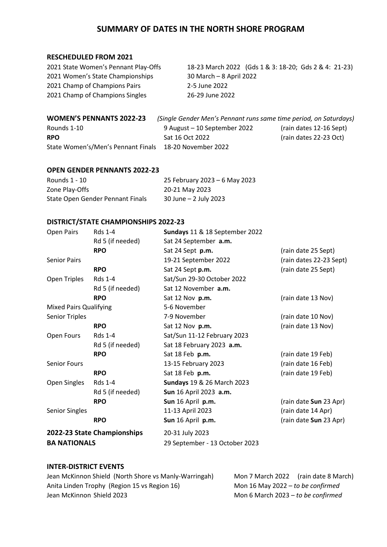## **SUMMARY OF DATES IN THE NORTH SHORE PROGRAM**

#### **RESCHEDULED FROM 2021**

2021 Women's State Championships 30 March – 8 April 2022 2021 Champ of Champions Pairs 2-5 June 2022 2021 Champ of Champions Singles 26-29 June 2022

2021 State Women's Pennant Play-Offs 18-23 March 2022 (Gds 1 & 3: 18-20; Gds 2 & 4: 21-23)

## **WOMEN'S PENNANTS 2022-23** *(Single Gender Men's Pennant runs same time period, on Saturdays)*

Rounds 1-10 9 August – 10 September 2022 (rain dates 12-16 Sept) **RPO** Sat 16 Oct 2022 (rain dates 22-23 Oct) State Women's/Men's Pennant Finals 18-20 November 2022

#### **OPEN GENDER PENNANTS 2022-23**

| Rounds 1 - 10                    | 25 February 2023 - 6 May 2023 |
|----------------------------------|-------------------------------|
| Zone Play-Offs                   | 20-21 May 2023                |
| State Open Gender Pennant Finals | $30$ June $-2$ July 2023      |

### **DISTRICT/STATE CHAMPIONSHIPS 2022-23**

| Open Pairs                    | <b>Rds 1-4</b>              | Sundays 11 & 18 September 2022    |                         |
|-------------------------------|-----------------------------|-----------------------------------|-------------------------|
|                               | Rd 5 (if needed)            | Sat 24 September a.m.             |                         |
|                               | <b>RPO</b>                  | Sat 24 Sept p.m.                  | (rain date 25 Sept)     |
| <b>Senior Pairs</b>           |                             | 19-21 September 2022              | (rain dates 22-23 Sept) |
|                               | <b>RPO</b>                  | Sat 24 Sept p.m.                  | (rain date 25 Sept)     |
| Open Triples                  | <b>Rds 1-4</b>              | Sat/Sun 29-30 October 2022        |                         |
|                               | Rd 5 (if needed)            | Sat 12 November a.m.              |                         |
|                               | <b>RPO</b>                  | Sat 12 Nov p.m.                   | (rain date 13 Nov)      |
| <b>Mixed Pairs Qualifying</b> |                             | 5-6 November                      |                         |
| <b>Senior Triples</b>         |                             | 7-9 November                      | (rain date 10 Nov)      |
|                               | <b>RPO</b>                  | Sat 12 Nov p.m.                   | (rain date 13 Nov)      |
| Open Fours                    | Rds 1-4                     | Sat/Sun 11-12 February 2023       |                         |
|                               | Rd 5 (if needed)            | Sat 18 February 2023 a.m.         |                         |
|                               | <b>RPO</b>                  | Sat 18 Feb p.m.                   | (rain date 19 Feb)      |
| <b>Senior Fours</b>           |                             | 13-15 February 2023               | (rain date 16 Feb)      |
|                               | <b>RPO</b>                  | Sat 18 Feb p.m.                   | (rain date 19 Feb)      |
| Open Singles                  | <b>Rds 1-4</b>              | <b>Sundays</b> 19 & 26 March 2023 |                         |
|                               | Rd 5 (if needed)            | Sun 16 April 2023 a.m.            |                         |
|                               | <b>RPO</b>                  | Sun 16 April p.m.                 | (rain date Sun 23 Apr)  |
| Senior Singles                |                             | 11-13 April 2023                  | (rain date 14 Apr)      |
|                               | <b>RPO</b>                  | Sun 16 April p.m.                 | (rain date Sun 23 Apr)  |
|                               | 2022-23 State Championships | 20-31 July 2023                   |                         |
| <b>BA NATIONALS</b>           |                             | 29 September - 13 October 2023    |                         |

### **INTER-DISTRICT EVENTS**

Jean McKinnon Shield (North Shore vs Manly-Warringah) Mon 7 March 2022 (rain date 8 March) Anita Linden Trophy (Region 15 vs Region 16) Mon 16 May 2022 *– to be confirmed* Jean McKinnon Shield 2023 **Mon 6 March 2023** - *to be confirmed*